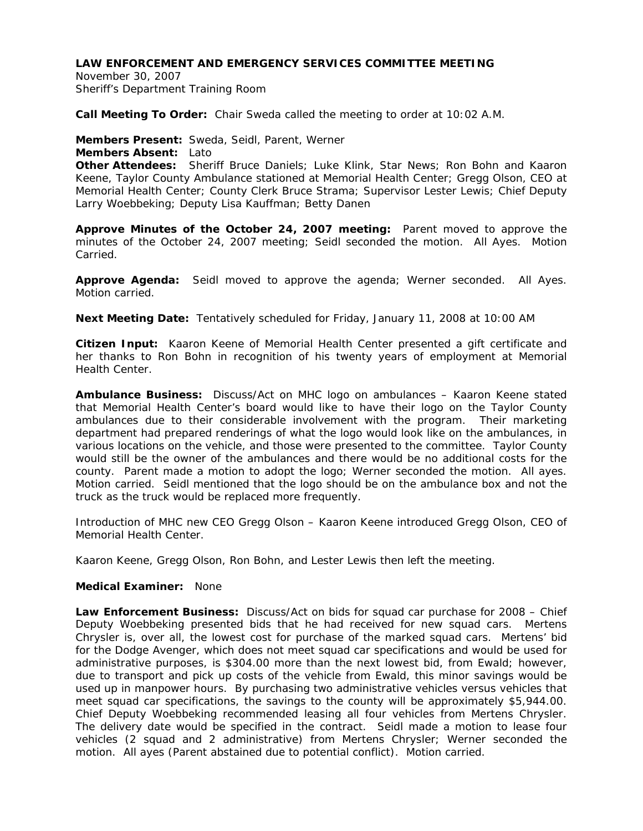## **LAW ENFORCEMENT AND EMERGENCY SERVICES COMMITTEE MEETING**

November 30, 2007 Sheriff's Department Training Room

**Call Meeting To Order:** Chair Sweda called the meeting to order at 10:02 A.M.

**Members Present:** Sweda, Seidl, Parent, Werner

**Members Absent:** Lato

**Other Attendees:** Sheriff Bruce Daniels; Luke Klink, Star News; Ron Bohn and Kaaron Keene, Taylor County Ambulance stationed at Memorial Health Center; Gregg Olson, CEO at Memorial Health Center; County Clerk Bruce Strama; Supervisor Lester Lewis; Chief Deputy Larry Woebbeking; Deputy Lisa Kauffman; Betty Danen

**Approve Minutes of the October 24, 2007 meeting:** Parent moved to approve the minutes of the October 24, 2007 meeting; Seidl seconded the motion. All Ayes. Motion Carried.

**Approve Agenda:** Seidl moved to approve the agenda; Werner seconded. All Ayes. Motion carried.

**Next Meeting Date:** Tentatively scheduled for Friday, January 11, 2008 at 10:00 AM

**Citizen Input:** Kaaron Keene of Memorial Health Center presented a gift certificate and her thanks to Ron Bohn in recognition of his twenty years of employment at Memorial Health Center.

**Ambulance Business:** Discuss/Act on MHC logo on ambulances – Kaaron Keene stated that Memorial Health Center's board would like to have their logo on the Taylor County ambulances due to their considerable involvement with the program. Their marketing department had prepared renderings of what the logo would look like on the ambulances, in various locations on the vehicle, and those were presented to the committee. Taylor County would still be the owner of the ambulances and there would be no additional costs for the county. Parent made a motion to adopt the logo; Werner seconded the motion. All ayes. Motion carried. Seidl mentioned that the logo should be on the ambulance box and not the truck as the truck would be replaced more frequently.

Introduction of MHC new CEO Gregg Olson – Kaaron Keene introduced Gregg Olson, CEO of Memorial Health Center.

Kaaron Keene, Gregg Olson, Ron Bohn, and Lester Lewis then left the meeting.

### **Medical Examiner:** None

**Law Enforcement Business:** Discuss/Act on bids for squad car purchase for 2008 – Chief Deputy Woebbeking presented bids that he had received for new squad cars. Mertens Chrysler is, over all, the lowest cost for purchase of the marked squad cars. Mertens' bid for the Dodge Avenger, which does not meet squad car specifications and would be used for administrative purposes, is \$304.00 more than the next lowest bid, from Ewald; however, due to transport and pick up costs of the vehicle from Ewald, this minor savings would be used up in manpower hours. By purchasing two administrative vehicles versus vehicles that meet squad car specifications, the savings to the county will be approximately \$5,944.00. Chief Deputy Woebbeking recommended leasing all four vehicles from Mertens Chrysler. The delivery date would be specified in the contract. Seidl made a motion to lease four vehicles (2 squad and 2 administrative) from Mertens Chrysler; Werner seconded the motion. All ayes (Parent abstained due to potential conflict). Motion carried.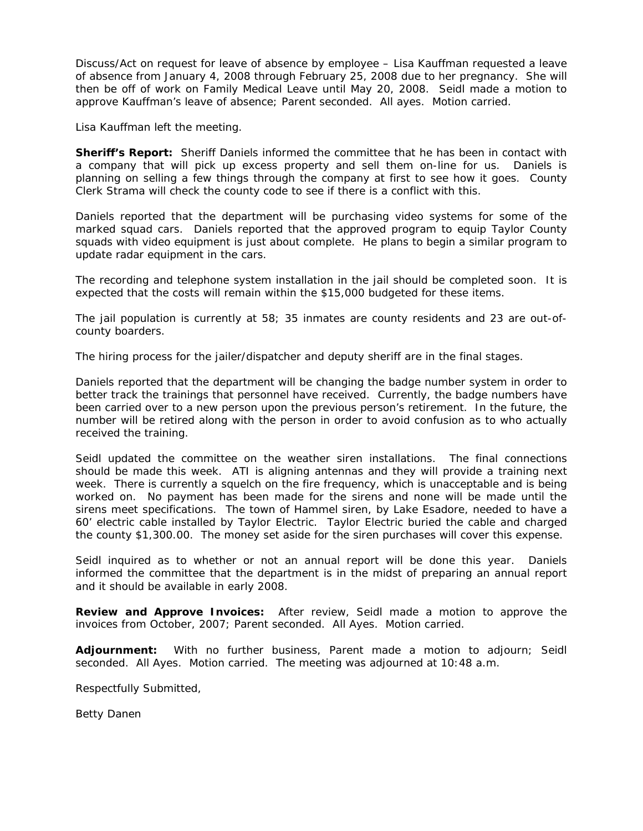Discuss/Act on request for leave of absence by employee – Lisa Kauffman requested a leave of absence from January 4, 2008 through February 25, 2008 due to her pregnancy. She will then be off of work on Family Medical Leave until May 20, 2008. Seidl made a motion to approve Kauffman's leave of absence; Parent seconded. All ayes. Motion carried.

Lisa Kauffman left the meeting.

**Sheriff's Report:** Sheriff Daniels informed the committee that he has been in contact with a company that will pick up excess property and sell them on-line for us. Daniels is planning on selling a few things through the company at first to see how it goes. County Clerk Strama will check the county code to see if there is a conflict with this.

Daniels reported that the department will be purchasing video systems for some of the marked squad cars. Daniels reported that the approved program to equip Taylor County squads with video equipment is just about complete. He plans to begin a similar program to update radar equipment in the cars.

The recording and telephone system installation in the jail should be completed soon. It is expected that the costs will remain within the \$15,000 budgeted for these items.

The jail population is currently at 58; 35 inmates are county residents and 23 are out-ofcounty boarders.

The hiring process for the jailer/dispatcher and deputy sheriff are in the final stages.

Daniels reported that the department will be changing the badge number system in order to better track the trainings that personnel have received. Currently, the badge numbers have been carried over to a new person upon the previous person's retirement. In the future, the number will be retired along with the person in order to avoid confusion as to who actually received the training.

Seidl updated the committee on the weather siren installations. The final connections should be made this week. ATI is aligning antennas and they will provide a training next week. There is currently a squelch on the fire frequency, which is unacceptable and is being worked on. No payment has been made for the sirens and none will be made until the sirens meet specifications. The town of Hammel siren, by Lake Esadore, needed to have a 60' electric cable installed by Taylor Electric. Taylor Electric buried the cable and charged the county \$1,300.00. The money set aside for the siren purchases will cover this expense.

Seidl inquired as to whether or not an annual report will be done this year. Daniels informed the committee that the department is in the midst of preparing an annual report and it should be available in early 2008.

**Review and Approve Invoices:** After review, Seidl made a motion to approve the invoices from October, 2007; Parent seconded. All Ayes. Motion carried.

**Adjournment:** With no further business, Parent made a motion to adjourn; Seidl seconded. All Ayes. Motion carried. The meeting was adjourned at 10:48 a.m.

Respectfully Submitted,

Betty Danen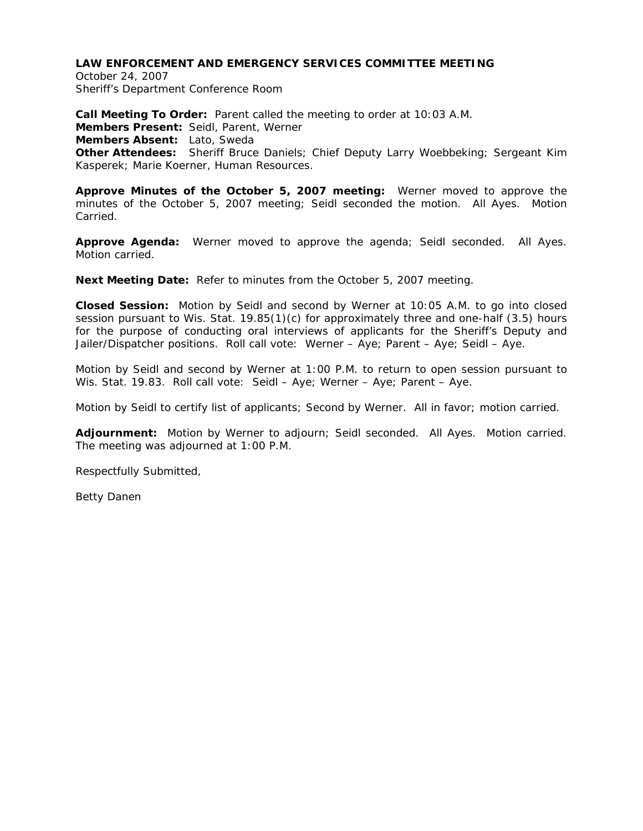# **LAW ENFORCEMENT AND EMERGENCY SERVICES COMMITTEE MEETING**

October 24, 2007 Sheriff's Department Conference Room

**Call Meeting To Order:** Parent called the meeting to order at 10:03 A.M. **Members Present:** Seidl, Parent, Werner **Members Absent:** Lato, Sweda **Other Attendees:** Sheriff Bruce Daniels; Chief Deputy Larry Woebbeking; Sergeant Kim Kasperek; Marie Koerner, Human Resources.

**Approve Minutes of the October 5, 2007 meeting:** Werner moved to approve the minutes of the October 5, 2007 meeting; Seidl seconded the motion. All Ayes. Motion Carried.

**Approve Agenda:** Werner moved to approve the agenda; Seidl seconded. All Ayes. Motion carried.

**Next Meeting Date:** Refer to minutes from the October 5, 2007 meeting.

**Closed Session:** Motion by Seidl and second by Werner at 10:05 A.M. to go into closed session pursuant to Wis. Stat. 19.85(1)(c) for approximately three and one-half (3.5) hours for the purpose of conducting oral interviews of applicants for the Sheriff's Deputy and Jailer/Dispatcher positions. Roll call vote: Werner – Aye; Parent – Aye; Seidl – Aye.

Motion by Seidl and second by Werner at 1:00 P.M. to return to open session pursuant to Wis. Stat. 19.83. Roll call vote: Seidl – Aye; Werner – Aye; Parent – Aye.

Motion by Seidl to certify list of applicants; Second by Werner. All in favor; motion carried.

**Adjournment:** Motion by Werner to adjourn; Seidl seconded. All Ayes. Motion carried. The meeting was adjourned at 1:00 P.M.

Respectfully Submitted,

Betty Danen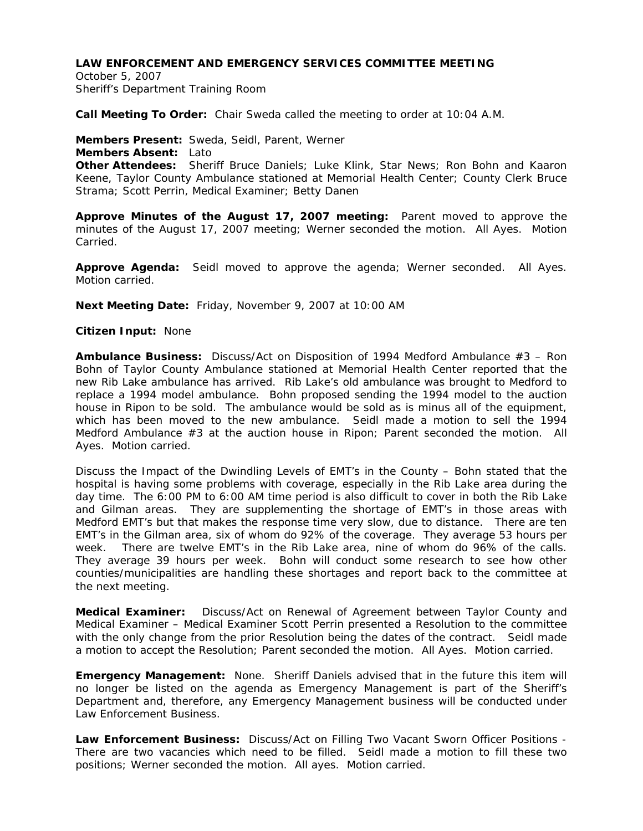## **LAW ENFORCEMENT AND EMERGENCY SERVICES COMMITTEE MEETING**

October 5, 2007 Sheriff's Department Training Room

**Call Meeting To Order:** Chair Sweda called the meeting to order at 10:04 A.M.

**Members Present:** Sweda, Seidl, Parent, Werner **Members Absent:** Lato **Other Attendees:** Sheriff Bruce Daniels; Luke Klink, Star News; Ron Bohn and Kaaron Keene, Taylor County Ambulance stationed at Memorial Health Center; County Clerk Bruce Strama; Scott Perrin, Medical Examiner; Betty Danen

**Approve Minutes of the August 17, 2007 meeting:** Parent moved to approve the minutes of the August 17, 2007 meeting; Werner seconded the motion. All Ayes. Motion Carried.

**Approve Agenda:** Seidl moved to approve the agenda; Werner seconded. All Ayes. Motion carried.

**Next Meeting Date:** Friday, November 9, 2007 at 10:00 AM

## **Citizen Input:** None

**Ambulance Business:** Discuss/Act on Disposition of 1994 Medford Ambulance #3 – Ron Bohn of Taylor County Ambulance stationed at Memorial Health Center reported that the new Rib Lake ambulance has arrived. Rib Lake's old ambulance was brought to Medford to replace a 1994 model ambulance. Bohn proposed sending the 1994 model to the auction house in Ripon to be sold. The ambulance would be sold as is minus all of the equipment, which has been moved to the new ambulance. Seidl made a motion to sell the 1994 Medford Ambulance #3 at the auction house in Ripon; Parent seconded the motion. All Ayes. Motion carried.

Discuss the Impact of the Dwindling Levels of EMT's in the County – Bohn stated that the hospital is having some problems with coverage, especially in the Rib Lake area during the day time. The 6:00 PM to 6:00 AM time period is also difficult to cover in both the Rib Lake and Gilman areas. They are supplementing the shortage of EMT's in those areas with Medford EMT's but that makes the response time very slow, due to distance. There are ten EMT's in the Gilman area, six of whom do 92% of the coverage. They average 53 hours per week. There are twelve EMT's in the Rib Lake area, nine of whom do 96% of the calls. They average 39 hours per week. Bohn will conduct some research to see how other counties/municipalities are handling these shortages and report back to the committee at the next meeting.

**Medical Examiner:** Discuss/Act on Renewal of Agreement between Taylor County and Medical Examiner – Medical Examiner Scott Perrin presented a Resolution to the committee with the only change from the prior Resolution being the dates of the contract. Seidl made a motion to accept the Resolution; Parent seconded the motion. All Ayes. Motion carried.

**Emergency Management:** None. Sheriff Daniels advised that in the future this item will no longer be listed on the agenda as Emergency Management is part of the Sheriff's Department and, therefore, any Emergency Management business will be conducted under Law Enforcement Business.

**Law Enforcement Business:** Discuss/Act on Filling Two Vacant Sworn Officer Positions - There are two vacancies which need to be filled. Seidl made a motion to fill these two positions; Werner seconded the motion. All ayes. Motion carried.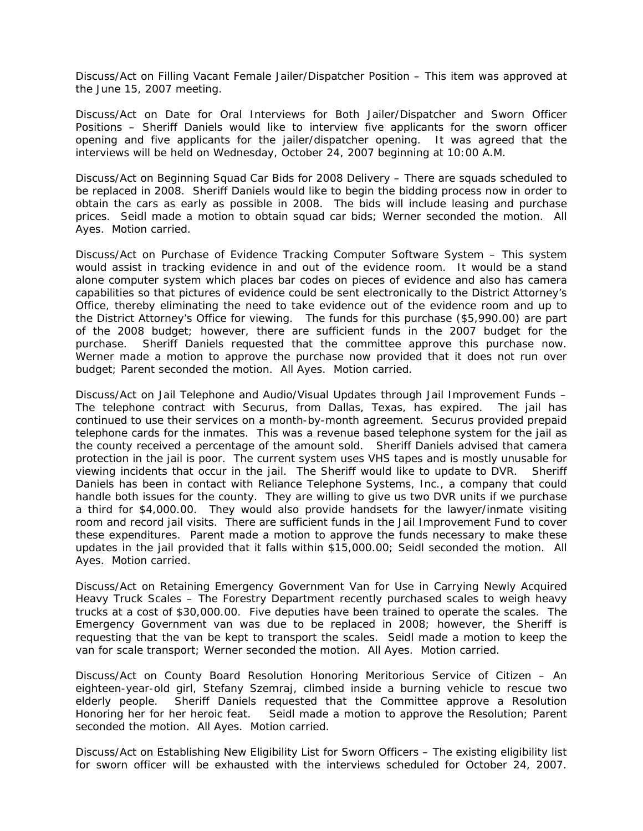Discuss/Act on Filling Vacant Female Jailer/Dispatcher Position – This item was approved at the June 15, 2007 meeting.

Discuss/Act on Date for Oral Interviews for Both Jailer/Dispatcher and Sworn Officer Positions – Sheriff Daniels would like to interview five applicants for the sworn officer opening and five applicants for the jailer/dispatcher opening. It was agreed that the interviews will be held on Wednesday, October 24, 2007 beginning at 10:00 A.M.

Discuss/Act on Beginning Squad Car Bids for 2008 Delivery – There are squads scheduled to be replaced in 2008. Sheriff Daniels would like to begin the bidding process now in order to obtain the cars as early as possible in 2008. The bids will include leasing and purchase prices. Seidl made a motion to obtain squad car bids; Werner seconded the motion. All Ayes. Motion carried.

Discuss/Act on Purchase of Evidence Tracking Computer Software System – This system would assist in tracking evidence in and out of the evidence room. It would be a stand alone computer system which places bar codes on pieces of evidence and also has camera capabilities so that pictures of evidence could be sent electronically to the District Attorney's Office, thereby eliminating the need to take evidence out of the evidence room and up to the District Attorney's Office for viewing. The funds for this purchase (\$5,990.00) are part of the 2008 budget; however, there are sufficient funds in the 2007 budget for the purchase. Sheriff Daniels requested that the committee approve this purchase now. Werner made a motion to approve the purchase now provided that it does not run over budget; Parent seconded the motion. All Ayes. Motion carried.

Discuss/Act on Jail Telephone and Audio/Visual Updates through Jail Improvement Funds – The telephone contract with Securus, from Dallas, Texas, has expired. The jail has continued to use their services on a month-by-month agreement. Securus provided prepaid telephone cards for the inmates. This was a revenue based telephone system for the jail as the county received a percentage of the amount sold. Sheriff Daniels advised that camera protection in the jail is poor. The current system uses VHS tapes and is mostly unusable for viewing incidents that occur in the jail. The Sheriff would like to update to DVR. Sheriff Daniels has been in contact with Reliance Telephone Systems, Inc., a company that could handle both issues for the county. They are willing to give us two DVR units if we purchase a third for \$4,000.00. They would also provide handsets for the lawyer/inmate visiting room and record jail visits. There are sufficient funds in the Jail Improvement Fund to cover these expenditures. Parent made a motion to approve the funds necessary to make these updates in the jail provided that it falls within \$15,000.00; Seidl seconded the motion. All Ayes. Motion carried.

Discuss/Act on Retaining Emergency Government Van for Use in Carrying Newly Acquired Heavy Truck Scales – The Forestry Department recently purchased scales to weigh heavy trucks at a cost of \$30,000.00. Five deputies have been trained to operate the scales. The Emergency Government van was due to be replaced in 2008; however, the Sheriff is requesting that the van be kept to transport the scales. Seidl made a motion to keep the van for scale transport; Werner seconded the motion. All Ayes. Motion carried.

Discuss/Act on County Board Resolution Honoring Meritorious Service of Citizen – An eighteen-year-old girl, Stefany Szemraj, climbed inside a burning vehicle to rescue two elderly people. Sheriff Daniels requested that the Committee approve a Resolution Honoring her for her heroic feat. Seidl made a motion to approve the Resolution; Parent seconded the motion. All Ayes. Motion carried.

Discuss/Act on Establishing New Eligibility List for Sworn Officers – The existing eligibility list for sworn officer will be exhausted with the interviews scheduled for October 24, 2007.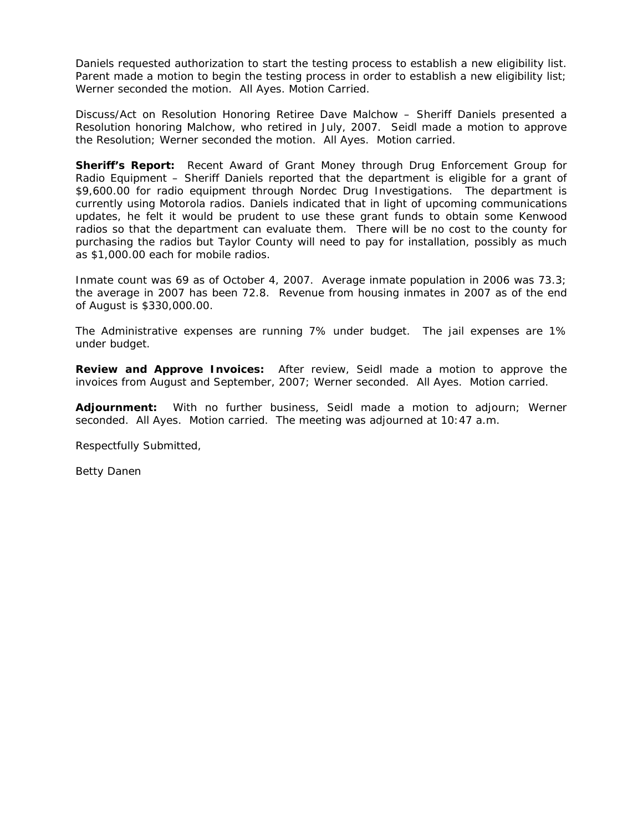Daniels requested authorization to start the testing process to establish a new eligibility list. Parent made a motion to begin the testing process in order to establish a new eligibility list; Werner seconded the motion. All Ayes. Motion Carried.

Discuss/Act on Resolution Honoring Retiree Dave Malchow – Sheriff Daniels presented a Resolution honoring Malchow, who retired in July, 2007. Seidl made a motion to approve the Resolution; Werner seconded the motion. All Ayes. Motion carried.

**Sheriff's Report:** Recent Award of Grant Money through Drug Enforcement Group for Radio Equipment – Sheriff Daniels reported that the department is eligible for a grant of \$9,600.00 for radio equipment through Nordec Drug Investigations. The department is currently using Motorola radios. Daniels indicated that in light of upcoming communications updates, he felt it would be prudent to use these grant funds to obtain some Kenwood radios so that the department can evaluate them. There will be no cost to the county for purchasing the radios but Taylor County will need to pay for installation, possibly as much as \$1,000.00 each for mobile radios.

Inmate count was 69 as of October 4, 2007. Average inmate population in 2006 was 73.3; the average in 2007 has been 72.8. Revenue from housing inmates in 2007 as of the end of August is \$330,000.00.

The Administrative expenses are running 7% under budget. The jail expenses are 1% under budget.

**Review and Approve Invoices:** After review, Seidl made a motion to approve the invoices from August and September, 2007; Werner seconded. All Ayes. Motion carried.

**Adjournment:** With no further business, Seidl made a motion to adjourn; Werner seconded. All Ayes. Motion carried. The meeting was adjourned at 10:47 a.m.

Respectfully Submitted,

Betty Danen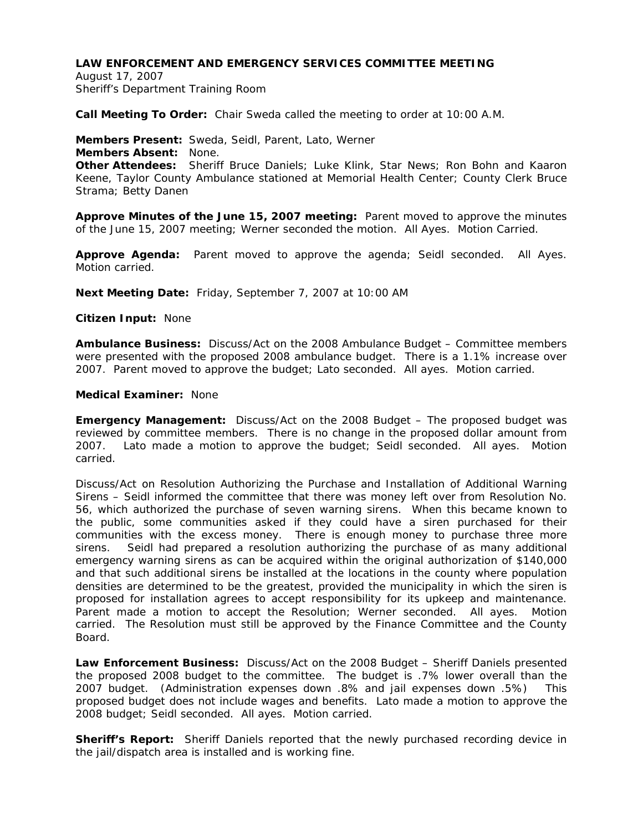## **LAW ENFORCEMENT AND EMERGENCY SERVICES COMMITTEE MEETING**

August 17, 2007 Sheriff's Department Training Room

**Call Meeting To Order:** Chair Sweda called the meeting to order at 10:00 A.M.

**Members Present:** Sweda, Seidl, Parent, Lato, Werner **Members Absent:** None. **Other Attendees:** Sheriff Bruce Daniels; Luke Klink, Star News; Ron Bohn and Kaaron Keene, Taylor County Ambulance stationed at Memorial Health Center; County Clerk Bruce Strama; Betty Danen

**Approve Minutes of the June 15, 2007 meeting:** Parent moved to approve the minutes of the June 15, 2007 meeting; Werner seconded the motion. All Ayes. Motion Carried.

**Approve Agenda:** Parent moved to approve the agenda; Seidl seconded. All Ayes. Motion carried.

**Next Meeting Date:** Friday, September 7, 2007 at 10:00 AM

**Citizen Input:** None

**Ambulance Business:** Discuss/Act on the 2008 Ambulance Budget – Committee members were presented with the proposed 2008 ambulance budget. There is a 1.1% increase over 2007. Parent moved to approve the budget; Lato seconded. All ayes. Motion carried.

## **Medical Examiner:** None

**Emergency Management:** Discuss/Act on the 2008 Budget – The proposed budget was reviewed by committee members. There is no change in the proposed dollar amount from 2007. Lato made a motion to approve the budget; Seidl seconded. All ayes. Motion carried.

Discuss/Act on Resolution Authorizing the Purchase and Installation of Additional Warning Sirens – Seidl informed the committee that there was money left over from Resolution No. 56, which authorized the purchase of seven warning sirens. When this became known to the public, some communities asked if they could have a siren purchased for their communities with the excess money. There is enough money to purchase three more sirens. Seidl had prepared a resolution authorizing the purchase of as many additional emergency warning sirens as can be acquired within the original authorization of \$140,000 and that such additional sirens be installed at the locations in the county where population densities are determined to be the greatest, provided the municipality in which the siren is proposed for installation agrees to accept responsibility for its upkeep and maintenance. Parent made a motion to accept the Resolution; Werner seconded. All ayes. Motion carried. The Resolution must still be approved by the Finance Committee and the County Board.

**Law Enforcement Business:** Discuss/Act on the 2008 Budget – Sheriff Daniels presented the proposed 2008 budget to the committee. The budget is .7% lower overall than the 2007 budget. (Administration expenses down .8% and jail expenses down .5%) This proposed budget does not include wages and benefits. Lato made a motion to approve the 2008 budget; Seidl seconded. All ayes. Motion carried.

**Sheriff's Report:** Sheriff Daniels reported that the newly purchased recording device in the jail/dispatch area is installed and is working fine.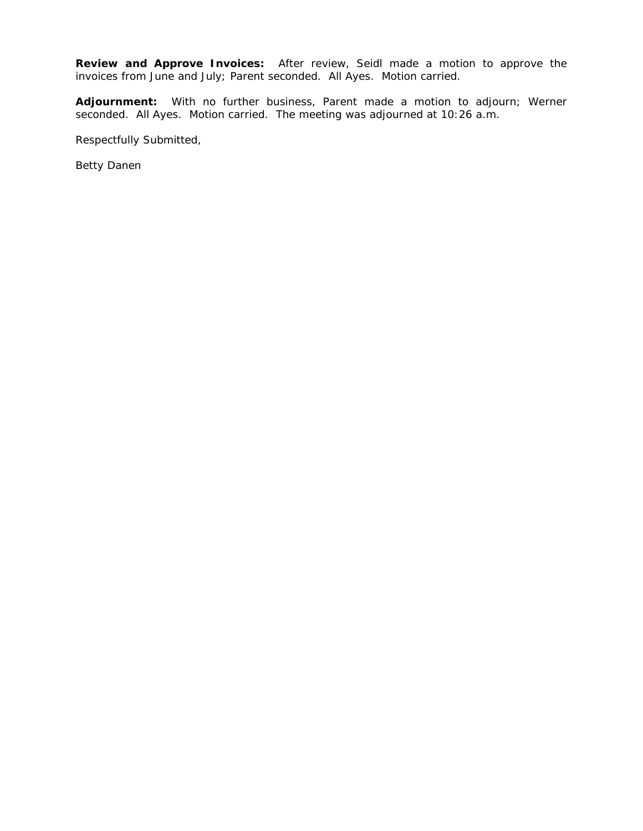**Review and Approve Invoices:** After review, Seidl made a motion to approve the invoices from June and July; Parent seconded. All Ayes. Motion carried.

**Adjournment:** With no further business, Parent made a motion to adjourn; Werner seconded. All Ayes. Motion carried. The meeting was adjourned at 10:26 a.m.

Respectfully Submitted,

Betty Danen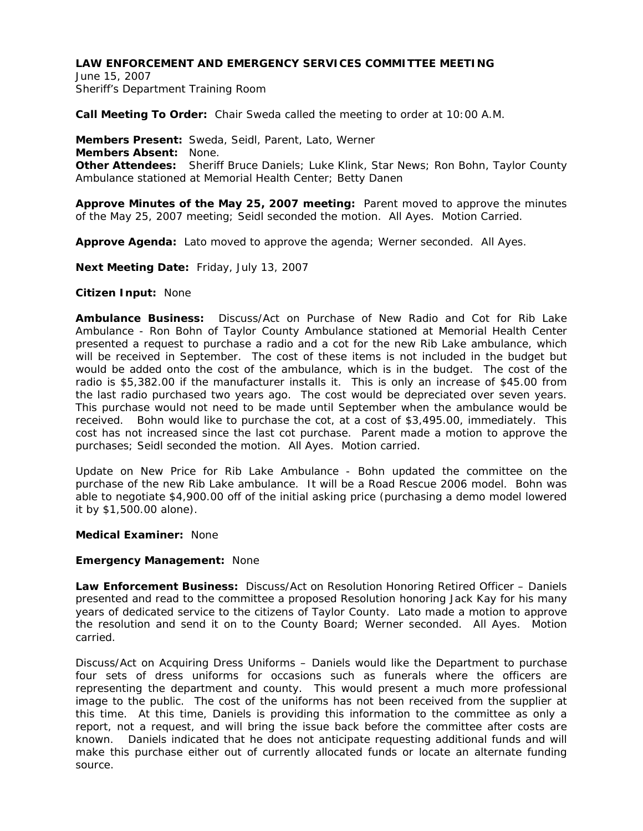# **LAW ENFORCEMENT AND EMERGENCY SERVICES COMMITTEE MEETING**

June 15, 2007 Sheriff's Department Training Room

**Call Meeting To Order:** Chair Sweda called the meeting to order at 10:00 A.M.

**Members Present:** Sweda, Seidl, Parent, Lato, Werner **Members Absent:** None. **Other Attendees:** Sheriff Bruce Daniels; Luke Klink, Star News; Ron Bohn, Taylor County Ambulance stationed at Memorial Health Center; Betty Danen

**Approve Minutes of the May 25, 2007 meeting:** Parent moved to approve the minutes of the May 25, 2007 meeting; Seidl seconded the motion. All Ayes. Motion Carried.

**Approve Agenda:** Lato moved to approve the agenda; Werner seconded. All Ayes.

**Next Meeting Date:** Friday, July 13, 2007

### **Citizen Input:** None

**Ambulance Business:** Discuss/Act on Purchase of New Radio and Cot for Rib Lake Ambulance - Ron Bohn of Taylor County Ambulance stationed at Memorial Health Center presented a request to purchase a radio and a cot for the new Rib Lake ambulance, which will be received in September. The cost of these items is not included in the budget but would be added onto the cost of the ambulance, which is in the budget. The cost of the radio is \$5,382.00 if the manufacturer installs it. This is only an increase of \$45.00 from the last radio purchased two years ago. The cost would be depreciated over seven years. This purchase would not need to be made until September when the ambulance would be received. Bohn would like to purchase the cot, at a cost of \$3,495.00, immediately. This cost has not increased since the last cot purchase. Parent made a motion to approve the purchases; Seidl seconded the motion. All Ayes. Motion carried.

Update on New Price for Rib Lake Ambulance - Bohn updated the committee on the purchase of the new Rib Lake ambulance. It will be a Road Rescue 2006 model. Bohn was able to negotiate \$4,900.00 off of the initial asking price (purchasing a demo model lowered it by \$1,500.00 alone).

### **Medical Examiner:** None

### **Emergency Management:** None

**Law Enforcement Business:** Discuss/Act on Resolution Honoring Retired Officer – Daniels presented and read to the committee a proposed Resolution honoring Jack Kay for his many years of dedicated service to the citizens of Taylor County. Lato made a motion to approve the resolution and send it on to the County Board; Werner seconded. All Ayes. Motion carried.

Discuss/Act on Acquiring Dress Uniforms – Daniels would like the Department to purchase four sets of dress uniforms for occasions such as funerals where the officers are representing the department and county. This would present a much more professional image to the public. The cost of the uniforms has not been received from the supplier at this time. At this time, Daniels is providing this information to the committee as only a report, not a request, and will bring the issue back before the committee after costs are known. Daniels indicated that he does not anticipate requesting additional funds and will make this purchase either out of currently allocated funds or locate an alternate funding source.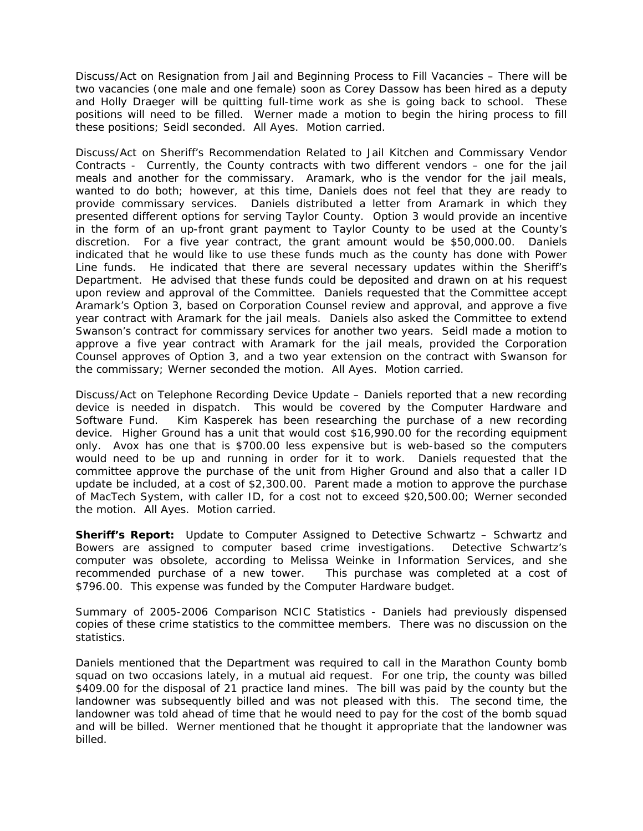Discuss/Act on Resignation from Jail and Beginning Process to Fill Vacancies – There will be two vacancies (one male and one female) soon as Corey Dassow has been hired as a deputy and Holly Draeger will be quitting full-time work as she is going back to school. These positions will need to be filled. Werner made a motion to begin the hiring process to fill these positions; Seidl seconded. All Ayes. Motion carried.

Discuss/Act on Sheriff's Recommendation Related to Jail Kitchen and Commissary Vendor Contracts - Currently, the County contracts with two different vendors – one for the jail meals and another for the commissary. Aramark, who is the vendor for the jail meals, wanted to do both; however, at this time, Daniels does not feel that they are ready to provide commissary services. Daniels distributed a letter from Aramark in which they presented different options for serving Taylor County. Option 3 would provide an incentive in the form of an up-front grant payment to Taylor County to be used at the County's discretion. For a five year contract, the grant amount would be \$50,000.00. Daniels indicated that he would like to use these funds much as the county has done with Power Line funds. He indicated that there are several necessary updates within the Sheriff's Department. He advised that these funds could be deposited and drawn on at his request upon review and approval of the Committee. Daniels requested that the Committee accept Aramark's Option 3, based on Corporation Counsel review and approval, and approve a five year contract with Aramark for the jail meals. Daniels also asked the Committee to extend Swanson's contract for commissary services for another two years. Seidl made a motion to approve a five year contract with Aramark for the jail meals, provided the Corporation Counsel approves of Option 3, and a two year extension on the contract with Swanson for the commissary; Werner seconded the motion. All Ayes. Motion carried.

Discuss/Act on Telephone Recording Device Update – Daniels reported that a new recording device is needed in dispatch. This would be covered by the Computer Hardware and Software Fund. Kim Kasperek has been researching the purchase of a new recording device. Higher Ground has a unit that would cost \$16,990.00 for the recording equipment only. Avox has one that is \$700.00 less expensive but is web-based so the computers would need to be up and running in order for it to work. Daniels requested that the committee approve the purchase of the unit from Higher Ground and also that a caller ID update be included, at a cost of \$2,300.00. Parent made a motion to approve the purchase of MacTech System, with caller ID, for a cost not to exceed \$20,500.00; Werner seconded the motion. All Ayes. Motion carried.

**Sheriff's Report:** Update to Computer Assigned to Detective Schwartz – Schwartz and Bowers are assigned to computer based crime investigations. Detective Schwartz's computer was obsolete, according to Melissa Weinke in Information Services, and she recommended purchase of a new tower. This purchase was completed at a cost of \$796.00. This expense was funded by the Computer Hardware budget.

Summary of 2005-2006 Comparison NCIC Statistics - Daniels had previously dispensed copies of these crime statistics to the committee members. There was no discussion on the statistics.

Daniels mentioned that the Department was required to call in the Marathon County bomb squad on two occasions lately, in a mutual aid request. For one trip, the county was billed \$409.00 for the disposal of 21 practice land mines. The bill was paid by the county but the landowner was subsequently billed and was not pleased with this. The second time, the landowner was told ahead of time that he would need to pay for the cost of the bomb squad and will be billed. Werner mentioned that he thought it appropriate that the landowner was billed.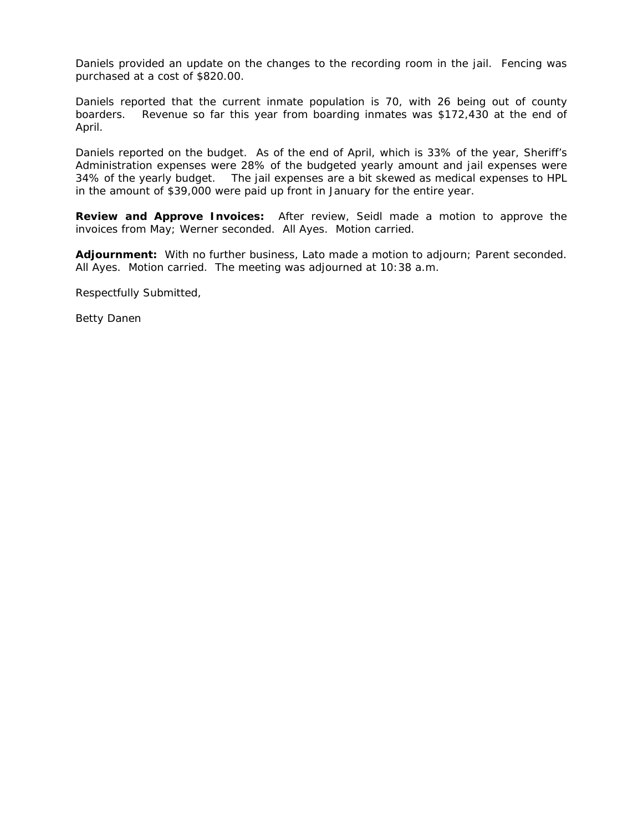Daniels provided an update on the changes to the recording room in the jail. Fencing was purchased at a cost of \$820.00.

Daniels reported that the current inmate population is 70, with 26 being out of county boarders. Revenue so far this year from boarding inmates was \$172,430 at the end of April.

Daniels reported on the budget. As of the end of April, which is 33% of the year, Sheriff's Administration expenses were 28% of the budgeted yearly amount and jail expenses were 34% of the yearly budget. The jail expenses are a bit skewed as medical expenses to HPL in the amount of \$39,000 were paid up front in January for the entire year.

**Review and Approve Invoices:** After review, Seidl made a motion to approve the invoices from May; Werner seconded. All Ayes. Motion carried.

**Adjournment:** With no further business, Lato made a motion to adjourn; Parent seconded. All Ayes. Motion carried. The meeting was adjourned at 10:38 a.m.

Respectfully Submitted,

Betty Danen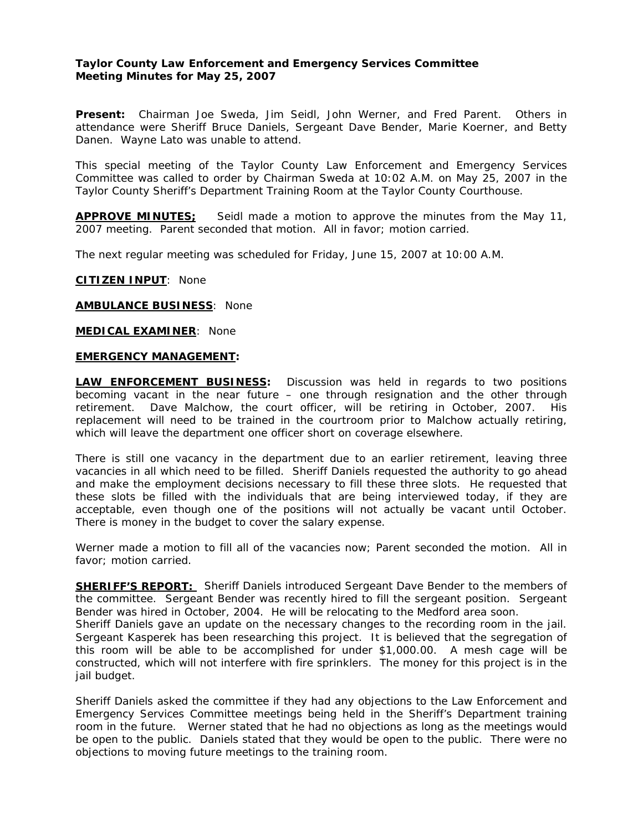# **Taylor County Law Enforcement and Emergency Services Committee Meeting Minutes for May 25, 2007**

**Present:** Chairman Joe Sweda, Jim Seidl, John Werner, and Fred Parent. Others in attendance were Sheriff Bruce Daniels, Sergeant Dave Bender, Marie Koerner, and Betty Danen. Wayne Lato was unable to attend.

This special meeting of the Taylor County Law Enforcement and Emergency Services Committee was called to order by Chairman Sweda at 10:02 A.M. on May 25, 2007 in the Taylor County Sheriff's Department Training Room at the Taylor County Courthouse.

**APPROVE MINUTES;** Seidl made a motion to approve the minutes from the May 11, 2007 meeting. Parent seconded that motion. All in favor; motion carried.

The next regular meeting was scheduled for Friday, June 15, 2007 at 10:00 A.M.

**CITIZEN INPUT**: None

#### **AMBULANCE BUSINESS**: None

**MEDICAL EXAMINER**: None

#### **EMERGENCY MANAGEMENT:**

**LAW ENFORCEMENT BUSINESS:** Discussion was held in regards to two positions becoming vacant in the near future – one through resignation and the other through retirement. Dave Malchow, the court officer, will be retiring in October, 2007. His replacement will need to be trained in the courtroom prior to Malchow actually retiring, which will leave the department one officer short on coverage elsewhere.

There is still one vacancy in the department due to an earlier retirement, leaving three vacancies in all which need to be filled. Sheriff Daniels requested the authority to go ahead and make the employment decisions necessary to fill these three slots. He requested that these slots be filled with the individuals that are being interviewed today, if they are acceptable, even though one of the positions will not actually be vacant until October. There is money in the budget to cover the salary expense.

Werner made a motion to fill all of the vacancies now; Parent seconded the motion. All in favor; motion carried.

**SHERIFF'S REPORT:** Sheriff Daniels introduced Sergeant Dave Bender to the members of the committee. Sergeant Bender was recently hired to fill the sergeant position. Sergeant Bender was hired in October, 2004. He will be relocating to the Medford area soon.

Sheriff Daniels gave an update on the necessary changes to the recording room in the jail. Sergeant Kasperek has been researching this project. It is believed that the segregation of this room will be able to be accomplished for under \$1,000.00. A mesh cage will be constructed, which will not interfere with fire sprinklers. The money for this project is in the jail budget.

Sheriff Daniels asked the committee if they had any objections to the Law Enforcement and Emergency Services Committee meetings being held in the Sheriff's Department training room in the future. Werner stated that he had no objections as long as the meetings would be open to the public. Daniels stated that they would be open to the public. There were no objections to moving future meetings to the training room.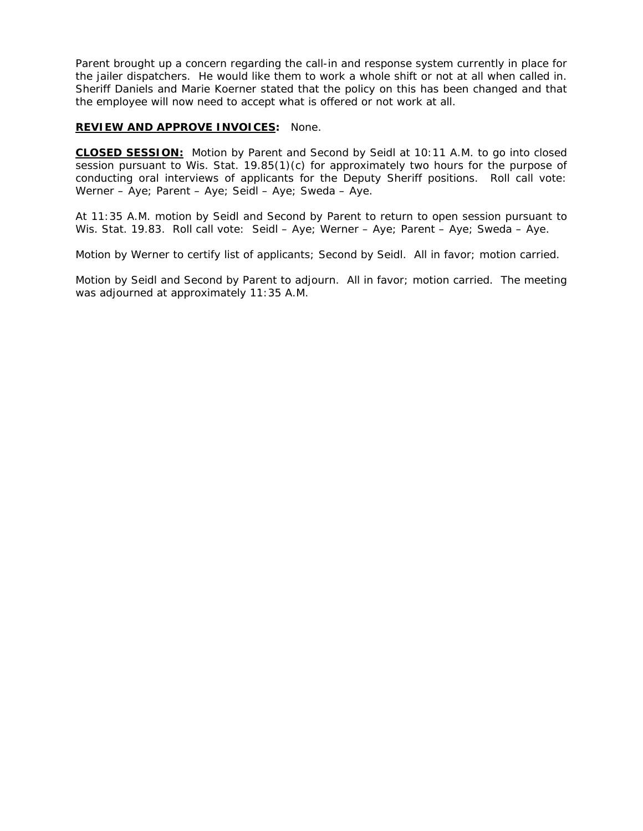Parent brought up a concern regarding the call-in and response system currently in place for the jailer dispatchers. He would like them to work a whole shift or not at all when called in. Sheriff Daniels and Marie Koerner stated that the policy on this has been changed and that the employee will now need to accept what is offered or not work at all.

# **REVIEW AND APPROVE INVOICES:** None.

**CLOSED SESSION:** Motion by Parent and Second by Seidl at 10:11 A.M. to go into closed session pursuant to Wis. Stat. 19.85(1)(c) for approximately two hours for the purpose of conducting oral interviews of applicants for the Deputy Sheriff positions. Roll call vote: Werner – Aye; Parent – Aye; Seidl – Aye; Sweda – Aye.

At 11:35 A.M. motion by Seidl and Second by Parent to return to open session pursuant to Wis. Stat. 19.83. Roll call vote: Seidl – Aye; Werner – Aye; Parent – Aye; Sweda – Aye.

Motion by Werner to certify list of applicants; Second by Seidl. All in favor; motion carried.

Motion by Seidl and Second by Parent to adjourn. All in favor; motion carried. The meeting was adjourned at approximately 11:35 A.M.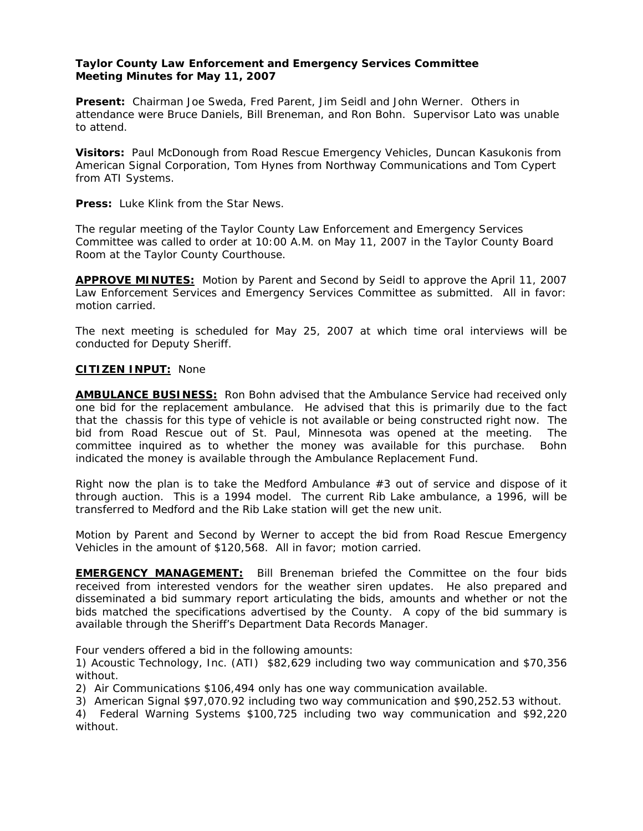# **Taylor County Law Enforcement and Emergency Services Committee Meeting Minutes for May 11, 2007**

**Present:** Chairman Joe Sweda, Fred Parent, Jim Seidl and John Werner. Others in attendance were Bruce Daniels, Bill Breneman, and Ron Bohn. Supervisor Lato was unable to attend.

**Visitors:** Paul McDonough from Road Rescue Emergency Vehicles, Duncan Kasukonis from American Signal Corporation, Tom Hynes from Northway Communications and Tom Cypert from ATI Systems.

**Press:** Luke Klink from the Star News.

The regular meeting of the Taylor County Law Enforcement and Emergency Services Committee was called to order at 10:00 A.M. on May 11, 2007 in the Taylor County Board Room at the Taylor County Courthouse.

**APPROVE MINUTES:** Motion by Parent and Second by Seidl to approve the April 11, 2007 Law Enforcement Services and Emergency Services Committee as submitted. All in favor: motion carried.

The next meeting is scheduled for May 25, 2007 at which time oral interviews will be conducted for Deputy Sheriff.

### **CITIZEN INPUT:** None

**AMBULANCE BUSINESS:** Ron Bohn advised that the Ambulance Service had received only one bid for the replacement ambulance. He advised that this is primarily due to the fact that the chassis for this type of vehicle is not available or being constructed right now. The bid from Road Rescue out of St. Paul, Minnesota was opened at the meeting. The committee inquired as to whether the money was available for this purchase. Bohn indicated the money is available through the Ambulance Replacement Fund.

Right now the plan is to take the Medford Ambulance  $#3$  out of service and dispose of it through auction. This is a 1994 model. The current Rib Lake ambulance, a 1996, will be transferred to Medford and the Rib Lake station will get the new unit.

Motion by Parent and Second by Werner to accept the bid from Road Rescue Emergency Vehicles in the amount of \$120,568. All in favor; motion carried.

**EMERGENCY MANAGEMENT:** Bill Breneman briefed the Committee on the four bids received from interested vendors for the weather siren updates. He also prepared and disseminated a bid summary report articulating the bids, amounts and whether or not the bids matched the specifications advertised by the County. A copy of the bid summary is available through the Sheriff's Department Data Records Manager.

Four venders offered a bid in the following amounts:

1) Acoustic Technology, Inc. (ATI) \$82,629 including two way communication and \$70,356 without.

2) Air Communications \$106,494 only has one way communication available.

3) American Signal \$97,070.92 including two way communication and \$90,252.53 without.

4) Federal Warning Systems \$100,725 including two way communication and \$92,220 without.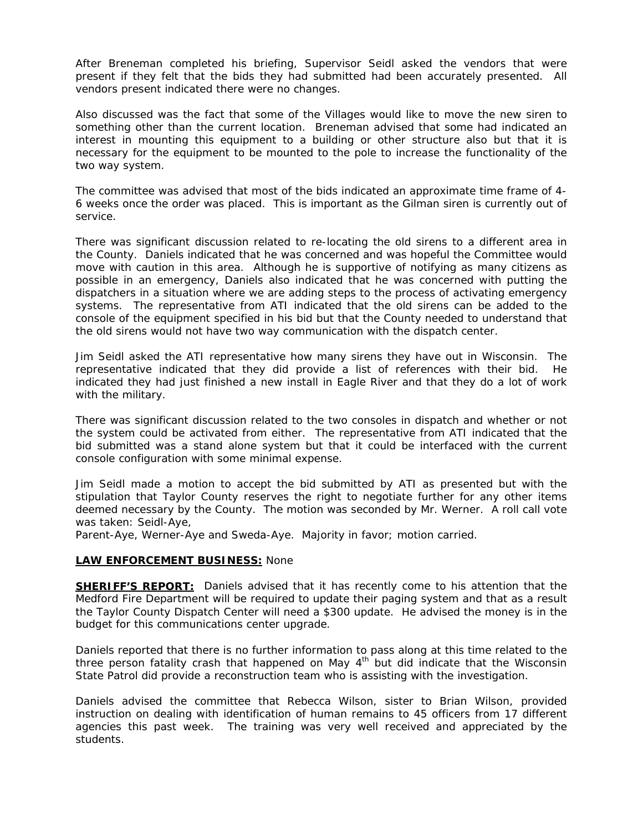After Breneman completed his briefing, Supervisor Seidl asked the vendors that were present if they felt that the bids they had submitted had been accurately presented. All vendors present indicated there were no changes.

Also discussed was the fact that some of the Villages would like to move the new siren to something other than the current location. Breneman advised that some had indicated an interest in mounting this equipment to a building or other structure also but that it is necessary for the equipment to be mounted to the pole to increase the functionality of the two way system.

The committee was advised that most of the bids indicated an approximate time frame of 4- 6 weeks once the order was placed. This is important as the Gilman siren is currently out of service.

There was significant discussion related to re-locating the old sirens to a different area in the County. Daniels indicated that he was concerned and was hopeful the Committee would move with caution in this area. Although he is supportive of notifying as many citizens as possible in an emergency, Daniels also indicated that he was concerned with putting the dispatchers in a situation where we are adding steps to the process of activating emergency systems. The representative from ATI indicated that the old sirens can be added to the console of the equipment specified in his bid but that the County needed to understand that the old sirens would not have two way communication with the dispatch center.

Jim Seidl asked the ATI representative how many sirens they have out in Wisconsin. The representative indicated that they did provide a list of references with their bid. He indicated they had just finished a new install in Eagle River and that they do a lot of work with the military.

There was significant discussion related to the two consoles in dispatch and whether or not the system could be activated from either. The representative from ATI indicated that the bid submitted was a stand alone system but that it could be interfaced with the current console configuration with some minimal expense.

Jim Seidl made a motion to accept the bid submitted by ATI as presented but with the stipulation that Taylor County reserves the right to negotiate further for any other items deemed necessary by the County. The motion was seconded by Mr. Werner. A roll call vote was taken: Seidl-Aye,

Parent-Aye, Werner-Aye and Sweda-Aye. Majority in favor; motion carried.

### **LAW ENFORCEMENT BUSINESS:** None

**SHERIFF'S REPORT:** Daniels advised that it has recently come to his attention that the Medford Fire Department will be required to update their paging system and that as a result the Taylor County Dispatch Center will need a \$300 update. He advised the money is in the budget for this communications center upgrade.

Daniels reported that there is no further information to pass along at this time related to the three person fatality crash that happened on May  $4<sup>th</sup>$  but did indicate that the Wisconsin State Patrol did provide a reconstruction team who is assisting with the investigation.

Daniels advised the committee that Rebecca Wilson, sister to Brian Wilson, provided instruction on dealing with identification of human remains to 45 officers from 17 different agencies this past week. The training was very well received and appreciated by the students.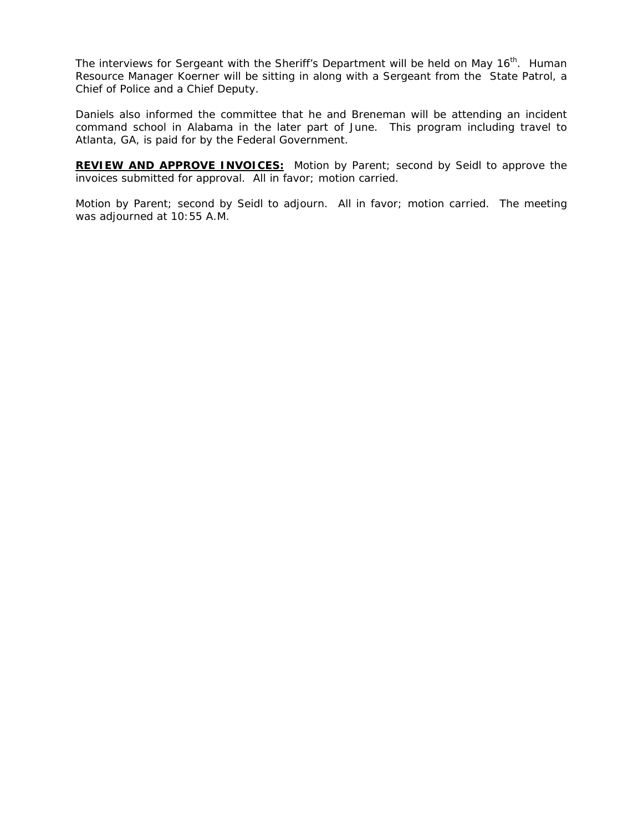The interviews for Sergeant with the Sheriff's Department will be held on May 16<sup>th</sup>. Human Resource Manager Koerner will be sitting in along with a Sergeant from the State Patrol, a Chief of Police and a Chief Deputy.

Daniels also informed the committee that he and Breneman will be attending an incident command school in Alabama in the later part of June. This program including travel to Atlanta, GA, is paid for by the Federal Government.

**REVIEW AND APPROVE INVOICES:** Motion by Parent; second by Seidl to approve the invoices submitted for approval. All in favor; motion carried.

Motion by Parent; second by Seidl to adjourn. All in favor; motion carried. The meeting was adjourned at 10:55 A.M.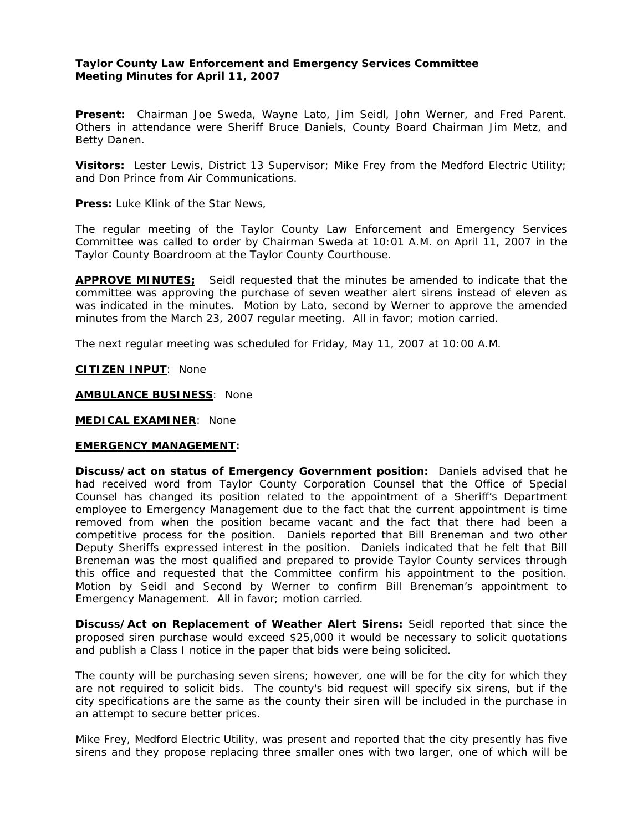# **Taylor County Law Enforcement and Emergency Services Committee Meeting Minutes for April 11, 2007**

**Present:** Chairman Joe Sweda, Wayne Lato, Jim Seidl, John Werner, and Fred Parent. Others in attendance were Sheriff Bruce Daniels, County Board Chairman Jim Metz, and Betty Danen.

**Visitors:** Lester Lewis, District 13 Supervisor; Mike Frey from the Medford Electric Utility; and Don Prince from Air Communications.

**Press:** Luke Klink of the Star News,

The regular meeting of the Taylor County Law Enforcement and Emergency Services Committee was called to order by Chairman Sweda at 10:01 A.M. on April 11, 2007 in the Taylor County Boardroom at the Taylor County Courthouse.

**APPROVE MINUTES;** Seidl requested that the minutes be amended to indicate that the committee was approving the purchase of seven weather alert sirens instead of eleven as was indicated in the minutes. Motion by Lato, second by Werner to approve the amended minutes from the March 23, 2007 regular meeting. All in favor; motion carried.

The next regular meeting was scheduled for Friday, May 11, 2007 at 10:00 A.M.

**CITIZEN INPUT**: None

**AMBULANCE BUSINESS**: None

**MEDICAL EXAMINER**: None

#### **EMERGENCY MANAGEMENT:**

**Discuss/act on status of Emergency Government position:** Daniels advised that he had received word from Taylor County Corporation Counsel that the Office of Special Counsel has changed its position related to the appointment of a Sheriff's Department employee to Emergency Management due to the fact that the current appointment is time removed from when the position became vacant and the fact that there had been a competitive process for the position. Daniels reported that Bill Breneman and two other Deputy Sheriffs expressed interest in the position. Daniels indicated that he felt that Bill Breneman was the most qualified and prepared to provide Taylor County services through this office and requested that the Committee confirm his appointment to the position. Motion by Seidl and Second by Werner to confirm Bill Breneman's appointment to Emergency Management. All in favor; motion carried.

**Discuss/Act on Replacement of Weather Alert Sirens:** Seidl reported that since the proposed siren purchase would exceed \$25,000 it would be necessary to solicit quotations and publish a Class I notice in the paper that bids were being solicited.

The county will be purchasing seven sirens; however, one will be for the city for which they are not required to solicit bids. The county's bid request will specify six sirens, but if the city specifications are the same as the county their siren will be included in the purchase in an attempt to secure better prices.

Mike Frey, Medford Electric Utility, was present and reported that the city presently has five sirens and they propose replacing three smaller ones with two larger, one of which will be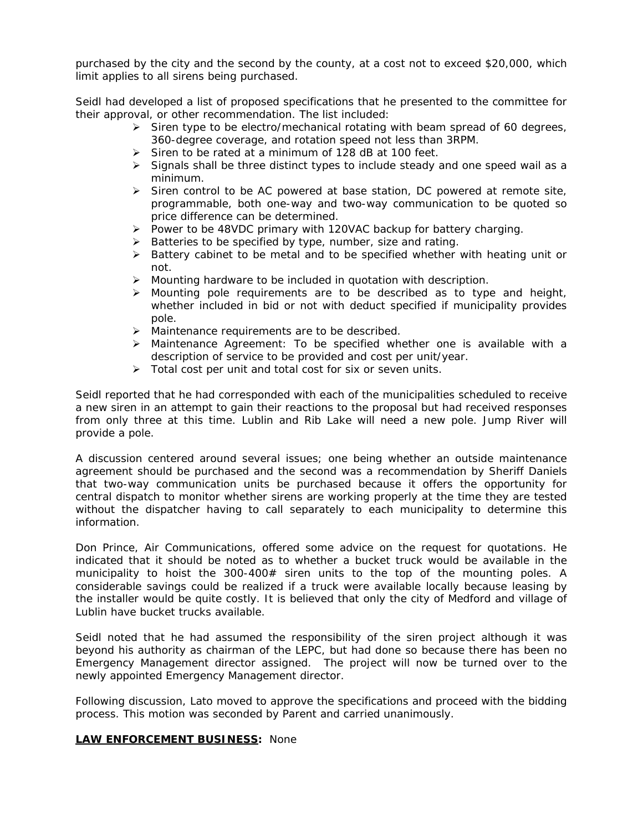purchased by the city and the second by the county, at a cost not to exceed \$20,000, which limit applies to all sirens being purchased.

Seidl had developed a list of proposed specifications that he presented to the committee for their approval, or other recommendation. The list included:

- ¾ Siren type to be electro/mechanical rotating with beam spread of 60 degrees, 360-degree coverage, and rotation speed not less than 3RPM.
- ¾ Siren to be rated at a minimum of 128 dB at 100 feet.
- $\triangleright$  Signals shall be three distinct types to include steady and one speed wail as a minimum.
- $\triangleright$  Siren control to be AC powered at base station, DC powered at remote site, programmable, both one-way and two-way communication to be quoted so price difference can be determined.
- $\triangleright$  Power to be 48VDC primary with 120VAC backup for battery charging.
- ¾ Batteries to be specified by type, number, size and rating.
- ¾ Battery cabinet to be metal and to be specified whether with heating unit or not.
- $\triangleright$  Mounting hardware to be included in quotation with description.
- $\triangleright$  Mounting pole requirements are to be described as to type and height, whether included in bid or not with deduct specified if municipality provides pole.
- ¾ Maintenance requirements are to be described.
- $\triangleright$  Maintenance Agreement: To be specified whether one is available with a description of service to be provided and cost per unit/year.
- ¾ Total cost per unit and total cost for six or seven units.

Seidl reported that he had corresponded with each of the municipalities scheduled to receive a new siren in an attempt to gain their reactions to the proposal but had received responses from only three at this time. Lublin and Rib Lake will need a new pole. Jump River will provide a pole.

A discussion centered around several issues; one being whether an outside maintenance agreement should be purchased and the second was a recommendation by Sheriff Daniels that two-way communication units be purchased because it offers the opportunity for central dispatch to monitor whether sirens are working properly at the time they are tested without the dispatcher having to call separately to each municipality to determine this information.

Don Prince, Air Communications, offered some advice on the request for quotations. He indicated that it should be noted as to whether a bucket truck would be available in the municipality to hoist the 300-400# siren units to the top of the mounting poles. A considerable savings could be realized if a truck were available locally because leasing by the installer would be quite costly. It is believed that only the city of Medford and village of Lublin have bucket trucks available.

Seidl noted that he had assumed the responsibility of the siren project although it was beyond his authority as chairman of the LEPC, but had done so because there has been no Emergency Management director assigned. The project will now be turned over to the newly appointed Emergency Management director.

Following discussion, Lato moved to approve the specifications and proceed with the bidding process. This motion was seconded by Parent and carried unanimously.

### **LAW ENFORCEMENT BUSINESS:** None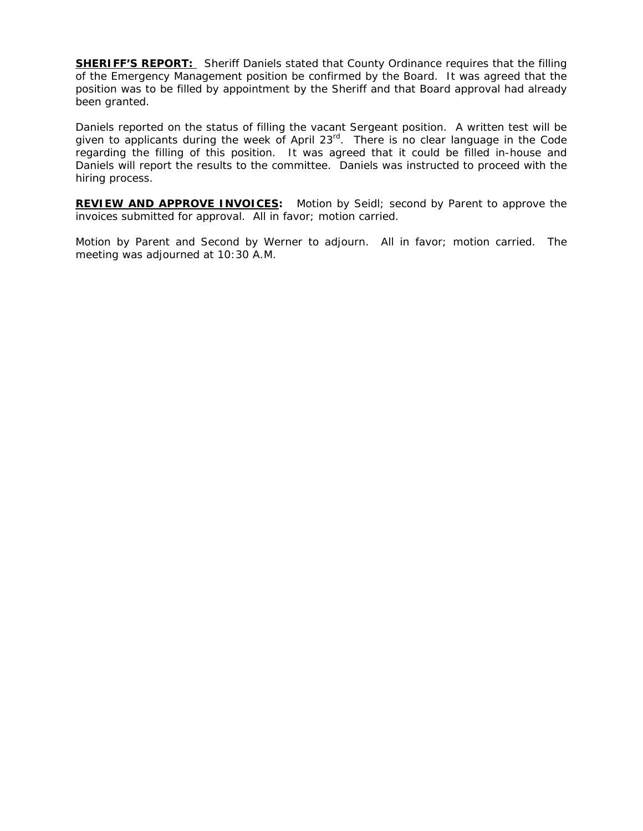**SHERIFF'S REPORT:** Sheriff Daniels stated that County Ordinance requires that the filling of the Emergency Management position be confirmed by the Board. It was agreed that the position was to be filled by appointment by the Sheriff and that Board approval had already been granted.

Daniels reported on the status of filling the vacant Sergeant position. A written test will be given to applicants during the week of April 23 $^{rd}$ . There is no clear language in the Code regarding the filling of this position. It was agreed that it could be filled in-house and Daniels will report the results to the committee. Daniels was instructed to proceed with the hiring process.

**REVIEW AND APPROVE INVOICES:** Motion by Seidl; second by Parent to approve the invoices submitted for approval. All in favor; motion carried.

Motion by Parent and Second by Werner to adjourn. All in favor; motion carried. The meeting was adjourned at 10:30 A.M.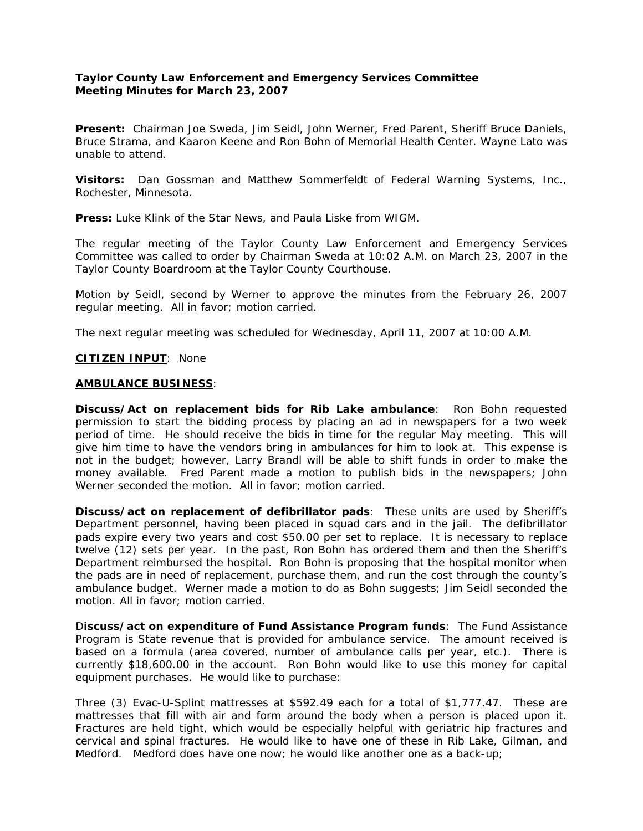## **Taylor County Law Enforcement and Emergency Services Committee Meeting Minutes for March 23, 2007**

**Present:** Chairman Joe Sweda, Jim Seidl, John Werner, Fred Parent, Sheriff Bruce Daniels, Bruce Strama, and Kaaron Keene and Ron Bohn of Memorial Health Center. Wayne Lato was unable to attend.

**Visitors:** Dan Gossman and Matthew Sommerfeldt of Federal Warning Systems, Inc., Rochester, Minnesota.

**Press:** Luke Klink of the Star News, and Paula Liske from WIGM.

The regular meeting of the Taylor County Law Enforcement and Emergency Services Committee was called to order by Chairman Sweda at 10:02 A.M. on March 23, 2007 in the Taylor County Boardroom at the Taylor County Courthouse.

Motion by Seidl, second by Werner to approve the minutes from the February 26, 2007 regular meeting. All in favor; motion carried.

The next regular meeting was scheduled for Wednesday, April 11, 2007 at 10:00 A.M.

## **CITIZEN INPUT**: None

## **AMBULANCE BUSINESS**:

**Discuss/Act on replacement bids for Rib Lake ambulance**: Ron Bohn requested permission to start the bidding process by placing an ad in newspapers for a two week period of time. He should receive the bids in time for the regular May meeting. This will give him time to have the vendors bring in ambulances for him to look at. This expense is not in the budget; however, Larry Brandl will be able to shift funds in order to make the money available. Fred Parent made a motion to publish bids in the newspapers; John Werner seconded the motion. All in favor; motion carried.

**Discuss/act on replacement of defibrillator pads**: These units are used by Sheriff's Department personnel, having been placed in squad cars and in the jail. The defibrillator pads expire every two years and cost \$50.00 per set to replace. It is necessary to replace twelve (12) sets per year. In the past, Ron Bohn has ordered them and then the Sheriff's Department reimbursed the hospital. Ron Bohn is proposing that the hospital monitor when the pads are in need of replacement, purchase them, and run the cost through the county's ambulance budget. Werner made a motion to do as Bohn suggests; Jim Seidl seconded the motion. All in favor; motion carried.

D**iscuss/act on expenditure of Fund Assistance Program funds**: The Fund Assistance Program is State revenue that is provided for ambulance service. The amount received is based on a formula (area covered, number of ambulance calls per year, etc.). There is currently \$18,600.00 in the account. Ron Bohn would like to use this money for capital equipment purchases. He would like to purchase:

Three (3) Evac-U-Splint mattresses at \$592.49 each for a total of \$1,777.47. These are mattresses that fill with air and form around the body when a person is placed upon it. Fractures are held tight, which would be especially helpful with geriatric hip fractures and cervical and spinal fractures. He would like to have one of these in Rib Lake, Gilman, and Medford. Medford does have one now; he would like another one as a back-up;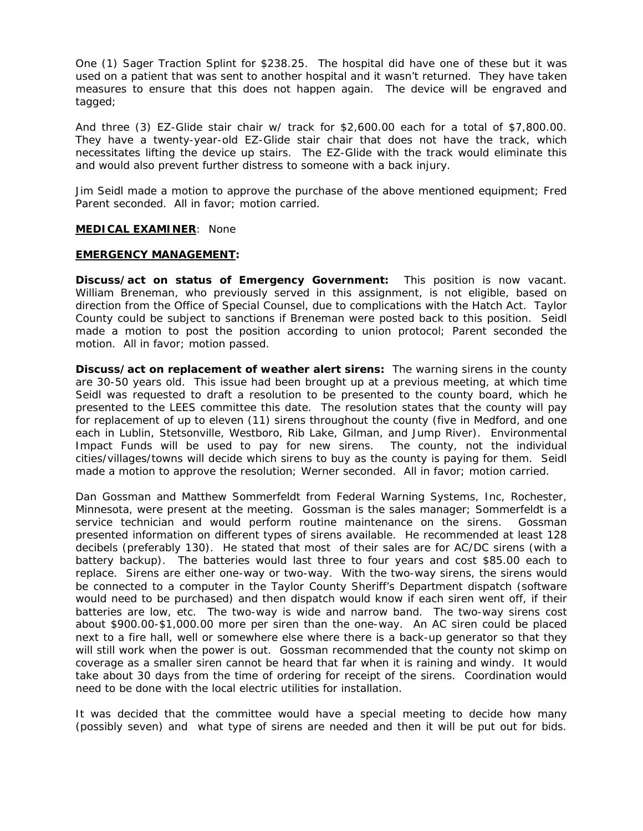One (1) Sager Traction Splint for \$238.25. The hospital did have one of these but it was used on a patient that was sent to another hospital and it wasn't returned. They have taken measures to ensure that this does not happen again. The device will be engraved and tagged;

And three (3) EZ-Glide stair chair w/ track for \$2,600.00 each for a total of \$7,800.00. They have a twenty-year-old EZ-Glide stair chair that does not have the track, which necessitates lifting the device up stairs. The EZ-Glide with the track would eliminate this and would also prevent further distress to someone with a back injury.

Jim Seidl made a motion to approve the purchase of the above mentioned equipment; Fred Parent seconded. All in favor; motion carried.

#### **MEDICAL EXAMINER**: None

#### **EMERGENCY MANAGEMENT:**

**Discuss/act on status of Emergency Government:** This position is now vacant. William Breneman, who previously served in this assignment, is not eligible, based on direction from the Office of Special Counsel, due to complications with the Hatch Act. Taylor County could be subject to sanctions if Breneman were posted back to this position. Seidl made a motion to post the position according to union protocol; Parent seconded the motion. All in favor; motion passed.

**Discuss/act on replacement of weather alert sirens:** The warning sirens in the county are 30-50 years old. This issue had been brought up at a previous meeting, at which time Seidl was requested to draft a resolution to be presented to the county board, which he presented to the LEES committee this date. The resolution states that the county will pay for replacement of up to eleven (11) sirens throughout the county (five in Medford, and one each in Lublin, Stetsonville, Westboro, Rib Lake, Gilman, and Jump River). Environmental Impact Funds will be used to pay for new sirens. The county, not the individual cities/villages/towns will decide which sirens to buy as the county is paying for them. Seidl made a motion to approve the resolution; Werner seconded. All in favor; motion carried.

Dan Gossman and Matthew Sommerfeldt from Federal Warning Systems, Inc, Rochester, Minnesota, were present at the meeting. Gossman is the sales manager; Sommerfeldt is a service technician and would perform routine maintenance on the sirens. Gossman presented information on different types of sirens available. He recommended at least 128 decibels (preferably 130). He stated that most of their sales are for AC/DC sirens (with a battery backup). The batteries would last three to four years and cost \$85.00 each to replace. Sirens are either one-way or two-way. With the two-way sirens, the sirens would be connected to a computer in the Taylor County Sheriff's Department dispatch (software would need to be purchased) and then dispatch would know if each siren went off, if their batteries are low, etc. The two-way is wide and narrow band. The two-way sirens cost about \$900.00-\$1,000.00 more per siren than the one-way. An AC siren could be placed next to a fire hall, well or somewhere else where there is a back-up generator so that they will still work when the power is out. Gossman recommended that the county not skimp on coverage as a smaller siren cannot be heard that far when it is raining and windy. It would take about 30 days from the time of ordering for receipt of the sirens. Coordination would need to be done with the local electric utilities for installation.

It was decided that the committee would have a special meeting to decide how many (possibly seven) and what type of sirens are needed and then it will be put out for bids.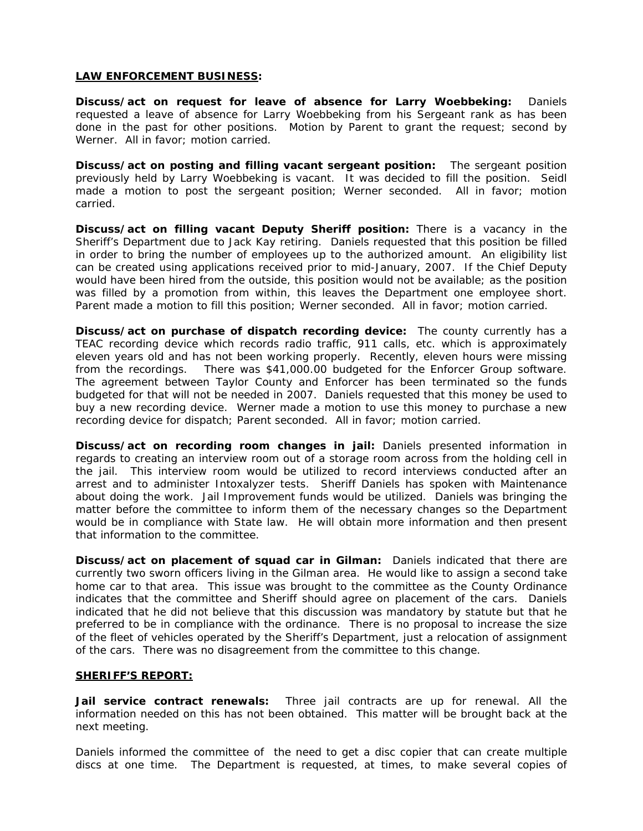#### **LAW ENFORCEMENT BUSINESS:**

**Discuss/act on request for leave of absence for Larry Woebbeking:** Daniels requested a leave of absence for Larry Woebbeking from his Sergeant rank as has been done in the past for other positions. Motion by Parent to grant the request; second by Werner. All in favor; motion carried.

**Discuss/act on posting and filling vacant sergeant position:** The sergeant position previously held by Larry Woebbeking is vacant. It was decided to fill the position. Seidl made a motion to post the sergeant position; Werner seconded. All in favor; motion carried.

**Discuss/act on filling vacant Deputy Sheriff position:** There is a vacancy in the Sheriff's Department due to Jack Kay retiring. Daniels requested that this position be filled in order to bring the number of employees up to the authorized amount. An eligibility list can be created using applications received prior to mid-January, 2007. If the Chief Deputy would have been hired from the outside, this position would not be available; as the position was filled by a promotion from within, this leaves the Department one employee short. Parent made a motion to fill this position; Werner seconded. All in favor; motion carried.

**Discuss/act on purchase of dispatch recording device:** The county currently has a TEAC recording device which records radio traffic, 911 calls, etc. which is approximately eleven years old and has not been working properly. Recently, eleven hours were missing from the recordings. There was \$41,000.00 budgeted for the Enforcer Group software. The agreement between Taylor County and Enforcer has been terminated so the funds budgeted for that will not be needed in 2007. Daniels requested that this money be used to buy a new recording device. Werner made a motion to use this money to purchase a new recording device for dispatch; Parent seconded. All in favor; motion carried.

**Discuss/act on recording room changes in jail:** Daniels presented information in regards to creating an interview room out of a storage room across from the holding cell in the jail. This interview room would be utilized to record interviews conducted after an arrest and to administer Intoxalyzer tests. Sheriff Daniels has spoken with Maintenance about doing the work. Jail Improvement funds would be utilized. Daniels was bringing the matter before the committee to inform them of the necessary changes so the Department would be in compliance with State law. He will obtain more information and then present that information to the committee.

**Discuss/act on placement of squad car in Gilman:** Daniels indicated that there are currently two sworn officers living in the Gilman area. He would like to assign a second take home car to that area. This issue was brought to the committee as the County Ordinance indicates that the committee and Sheriff should agree on placement of the cars. Daniels indicated that he did not believe that this discussion was mandatory by statute but that he preferred to be in compliance with the ordinance. There is no proposal to increase the size of the fleet of vehicles operated by the Sheriff's Department, just a relocation of assignment of the cars. There was no disagreement from the committee to this change.

### **SHERIFF'S REPORT:**

**Jail service contract renewals:** Three jail contracts are up for renewal. All the information needed on this has not been obtained. This matter will be brought back at the next meeting.

Daniels informed the committee of the need to get a disc copier that can create multiple discs at one time. The Department is requested, at times, to make several copies of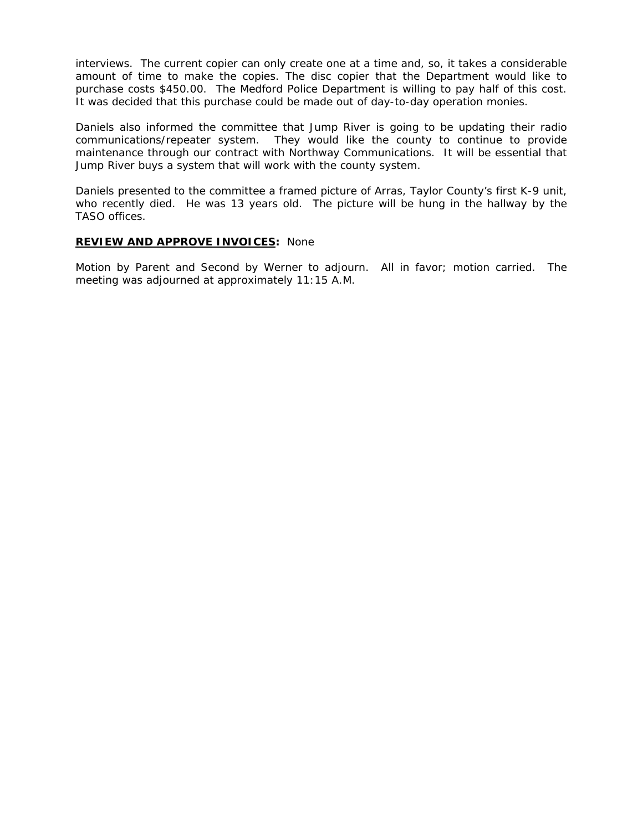interviews. The current copier can only create one at a time and, so, it takes a considerable amount of time to make the copies. The disc copier that the Department would like to purchase costs \$450.00. The Medford Police Department is willing to pay half of this cost. It was decided that this purchase could be made out of day-to-day operation monies.

Daniels also informed the committee that Jump River is going to be updating their radio communications/repeater system. They would like the county to continue to provide maintenance through our contract with Northway Communications. It will be essential that Jump River buys a system that will work with the county system.

Daniels presented to the committee a framed picture of Arras, Taylor County's first K-9 unit, who recently died. He was 13 years old. The picture will be hung in the hallway by the TASO offices.

# **REVIEW AND APPROVE INVOICES:** None

Motion by Parent and Second by Werner to adjourn. All in favor; motion carried. The meeting was adjourned at approximately 11:15 A.M.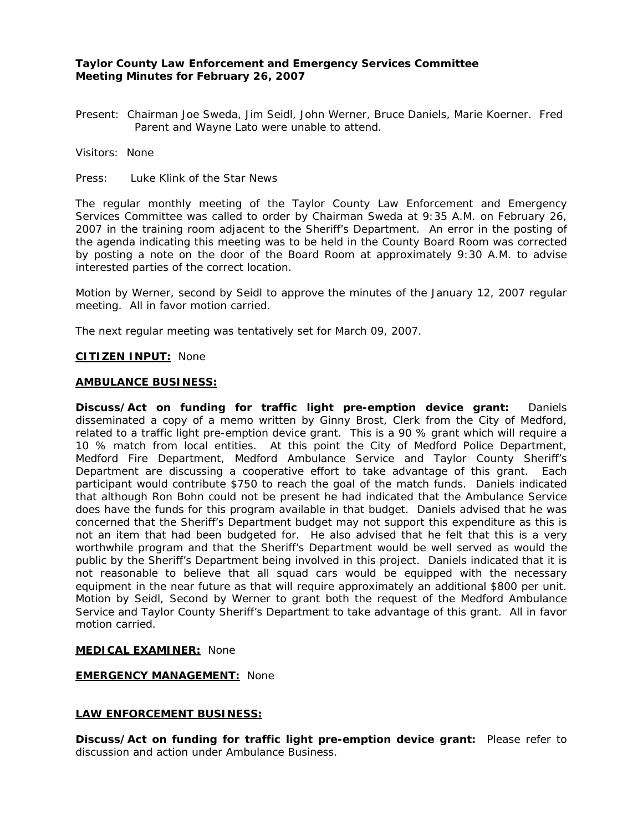# **Taylor County Law Enforcement and Emergency Services Committee Meeting Minutes for February 26, 2007**

Present: Chairman Joe Sweda, Jim Seidl, John Werner, Bruce Daniels, Marie Koerner. Fred Parent and Wayne Lato were unable to attend.

Visitors: None

Press: Luke Klink of the Star News

The regular monthly meeting of the Taylor County Law Enforcement and Emergency Services Committee was called to order by Chairman Sweda at 9:35 A.M. on February 26, 2007 in the training room adjacent to the Sheriff's Department. An error in the posting of the agenda indicating this meeting was to be held in the County Board Room was corrected by posting a note on the door of the Board Room at approximately 9:30 A.M. to advise interested parties of the correct location.

Motion by Werner, second by Seidl to approve the minutes of the January 12, 2007 regular meeting. All in favor motion carried.

The next regular meeting was tentatively set for March 09, 2007.

#### **CITIZEN INPUT:** None

#### **AMBULANCE BUSINESS:**

**Discuss/Act on funding for traffic light pre-emption device grant:** Daniels disseminated a copy of a memo written by Ginny Brost, Clerk from the City of Medford, related to a traffic light pre-emption device grant. This is a 90 % grant which will require a 10 % match from local entities. At this point the City of Medford Police Department, Medford Fire Department, Medford Ambulance Service and Taylor County Sheriff's Department are discussing a cooperative effort to take advantage of this grant. Each participant would contribute \$750 to reach the goal of the match funds. Daniels indicated that although Ron Bohn could not be present he had indicated that the Ambulance Service does have the funds for this program available in that budget. Daniels advised that he was concerned that the Sheriff's Department budget may not support this expenditure as this is not an item that had been budgeted for. He also advised that he felt that this is a very worthwhile program and that the Sheriff's Department would be well served as would the public by the Sheriff's Department being involved in this project. Daniels indicated that it is not reasonable to believe that all squad cars would be equipped with the necessary equipment in the near future as that will require approximately an additional \$800 per unit. Motion by Seidl, Second by Werner to grant both the request of the Medford Ambulance Service and Taylor County Sheriff's Department to take advantage of this grant. All in favor motion carried.

### **MEDICAL EXAMINER:** None

## **EMERGENCY MANAGEMENT:** None

### **LAW ENFORCEMENT BUSINESS:**

**Discuss/Act on funding for traffic light pre-emption device grant:** Please refer to discussion and action under Ambulance Business.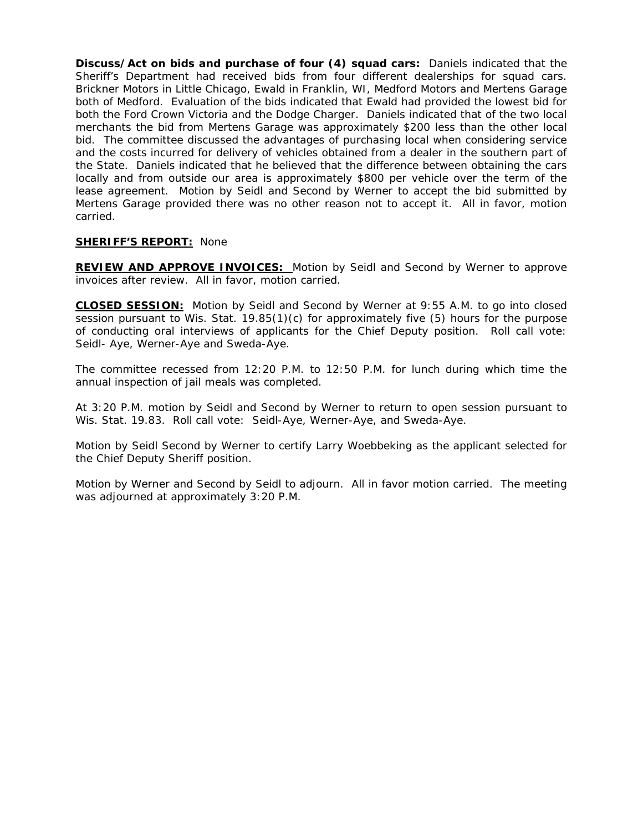**Discuss/Act on bids and purchase of four (4) squad cars:** Daniels indicated that the Sheriff's Department had received bids from four different dealerships for squad cars. Brickner Motors in Little Chicago, Ewald in Franklin, WI, Medford Motors and Mertens Garage both of Medford. Evaluation of the bids indicated that Ewald had provided the lowest bid for both the Ford Crown Victoria and the Dodge Charger. Daniels indicated that of the two local merchants the bid from Mertens Garage was approximately \$200 less than the other local bid. The committee discussed the advantages of purchasing local when considering service and the costs incurred for delivery of vehicles obtained from a dealer in the southern part of the State. Daniels indicated that he believed that the difference between obtaining the cars locally and from outside our area is approximately \$800 per vehicle over the term of the lease agreement. Motion by Seidl and Second by Werner to accept the bid submitted by Mertens Garage provided there was no other reason not to accept it. All in favor, motion carried.

## **SHERIFF'S REPORT:** None

**REVIEW AND APPROVE INVOICES:** Motion by Seidl and Second by Werner to approve invoices after review. All in favor, motion carried.

**CLOSED SESSION:** Motion by Seidl and Second by Werner at 9:55 A.M. to go into closed session pursuant to Wis. Stat. 19.85(1)(c) for approximately five (5) hours for the purpose of conducting oral interviews of applicants for the Chief Deputy position. Roll call vote: Seidl- Aye, Werner-Aye and Sweda-Aye.

The committee recessed from 12:20 P.M. to 12:50 P.M. for lunch during which time the annual inspection of jail meals was completed.

At 3:20 P.M. motion by Seidl and Second by Werner to return to open session pursuant to Wis. Stat. 19.83. Roll call vote: Seidl-Aye, Werner-Aye, and Sweda-Aye.

Motion by Seidl Second by Werner to certify Larry Woebbeking as the applicant selected for the Chief Deputy Sheriff position.

Motion by Werner and Second by Seidl to adjourn. All in favor motion carried. The meeting was adjourned at approximately 3:20 P.M.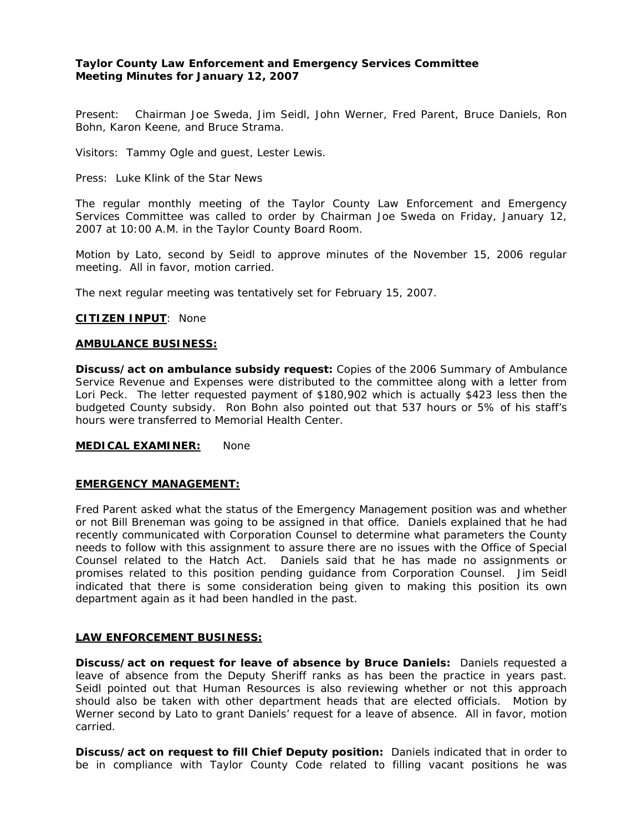# **Taylor County Law Enforcement and Emergency Services Committee Meeting Minutes for January 12, 2007**

Present: Chairman Joe Sweda, Jim Seidl, John Werner, Fred Parent, Bruce Daniels, Ron Bohn, Karon Keene, and Bruce Strama.

Visitors: Tammy Ogle and guest, Lester Lewis.

Press: Luke Klink of the Star News

The regular monthly meeting of the Taylor County Law Enforcement and Emergency Services Committee was called to order by Chairman Joe Sweda on Friday, January 12, 2007 at 10:00 A.M. in the Taylor County Board Room.

Motion by Lato, second by Seidl to approve minutes of the November 15, 2006 regular meeting. All in favor, motion carried.

The next regular meeting was tentatively set for February 15, 2007.

#### **CITIZEN INPUT**: None

#### **AMBULANCE BUSINESS:**

**Discuss/act on ambulance subsidy request:** Copies of the 2006 Summary of Ambulance Service Revenue and Expenses were distributed to the committee along with a letter from Lori Peck. The letter requested payment of \$180,902 which is actually \$423 less then the budgeted County subsidy. Ron Bohn also pointed out that 537 hours or 5% of his staff's hours were transferred to Memorial Health Center.

**MEDICAL EXAMINER:** None

### **EMERGENCY MANAGEMENT:**

Fred Parent asked what the status of the Emergency Management position was and whether or not Bill Breneman was going to be assigned in that office. Daniels explained that he had recently communicated with Corporation Counsel to determine what parameters the County needs to follow with this assignment to assure there are no issues with the Office of Special Counsel related to the Hatch Act. Daniels said that he has made no assignments or promises related to this position pending guidance from Corporation Counsel. Jim Seidl indicated that there is some consideration being given to making this position its own department again as it had been handled in the past.

### **LAW ENFORCEMENT BUSINESS:**

**Discuss/act on request for leave of absence by Bruce Daniels:** Daniels requested a leave of absence from the Deputy Sheriff ranks as has been the practice in years past. Seidl pointed out that Human Resources is also reviewing whether or not this approach should also be taken with other department heads that are elected officials. Motion by Werner second by Lato to grant Daniels' request for a leave of absence. All in favor, motion carried.

**Discuss/act on request to fill Chief Deputy position:** Daniels indicated that in order to be in compliance with Taylor County Code related to filling vacant positions he was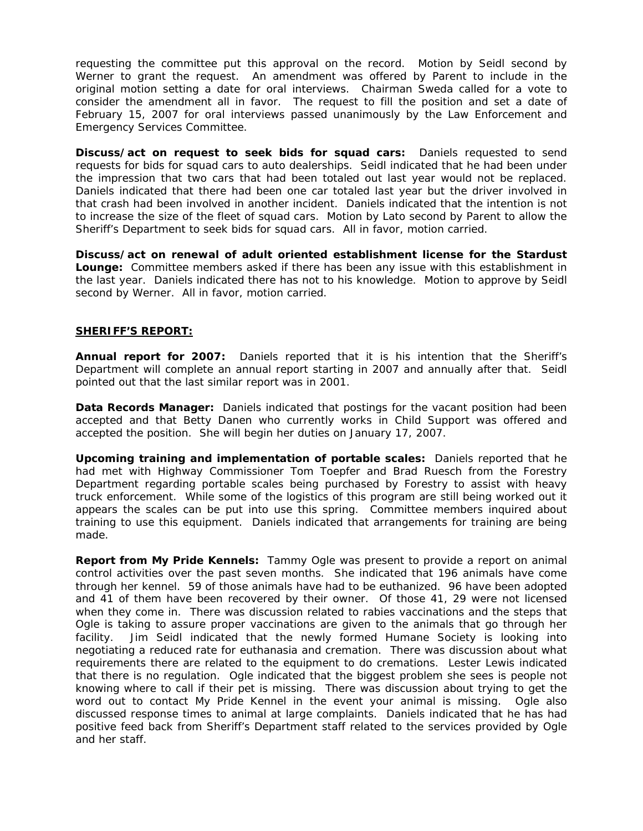requesting the committee put this approval on the record. Motion by Seidl second by Werner to grant the request. An amendment was offered by Parent to include in the original motion setting a date for oral interviews. Chairman Sweda called for a vote to consider the amendment all in favor. The request to fill the position and set a date of February 15, 2007 for oral interviews passed unanimously by the Law Enforcement and Emergency Services Committee.

**Discuss/act on request to seek bids for squad cars:** Daniels requested to send requests for bids for squad cars to auto dealerships. Seidl indicated that he had been under the impression that two cars that had been totaled out last year would not be replaced. Daniels indicated that there had been one car totaled last year but the driver involved in that crash had been involved in another incident. Daniels indicated that the intention is not to increase the size of the fleet of squad cars. Motion by Lato second by Parent to allow the Sheriff's Department to seek bids for squad cars. All in favor, motion carried.

**Discuss/act on renewal of adult oriented establishment license for the Stardust Lounge:** Committee members asked if there has been any issue with this establishment in the last year. Daniels indicated there has not to his knowledge. Motion to approve by Seidl second by Werner. All in favor, motion carried.

# **SHERIFF'S REPORT:**

**Annual report for 2007:** Daniels reported that it is his intention that the Sheriff's Department will complete an annual report starting in 2007 and annually after that. Seidl pointed out that the last similar report was in 2001.

**Data Records Manager:** Daniels indicated that postings for the vacant position had been accepted and that Betty Danen who currently works in Child Support was offered and accepted the position. She will begin her duties on January 17, 2007.

**Upcoming training and implementation of portable scales:** Daniels reported that he had met with Highway Commissioner Tom Toepfer and Brad Ruesch from the Forestry Department regarding portable scales being purchased by Forestry to assist with heavy truck enforcement. While some of the logistics of this program are still being worked out it appears the scales can be put into use this spring. Committee members inquired about training to use this equipment. Daniels indicated that arrangements for training are being made.

**Report from My Pride Kennels:** Tammy Ogle was present to provide a report on animal control activities over the past seven months. She indicated that 196 animals have come through her kennel. 59 of those animals have had to be euthanized. 96 have been adopted and 41 of them have been recovered by their owner. Of those 41, 29 were not licensed when they come in. There was discussion related to rabies vaccinations and the steps that Ogle is taking to assure proper vaccinations are given to the animals that go through her facility. Jim Seidl indicated that the newly formed Humane Society is looking into negotiating a reduced rate for euthanasia and cremation. There was discussion about what requirements there are related to the equipment to do cremations. Lester Lewis indicated that there is no regulation. Ogle indicated that the biggest problem she sees is people not knowing where to call if their pet is missing. There was discussion about trying to get the word out to contact My Pride Kennel in the event your animal is missing. Ogle also discussed response times to animal at large complaints. Daniels indicated that he has had positive feed back from Sheriff's Department staff related to the services provided by Ogle and her staff.